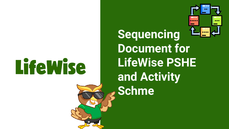# **LifeWise**

**Sequencing Document for LifeWise PSHE and Activity Schme**

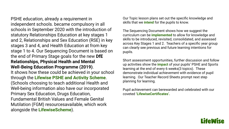PSHE education, already a requirement in independent schools. became compulsory in all schools in September 2020 with the introduction of statutory Relationships Education at key stages 1 and 2, Relationships and Sex Education (RSE) in key stages 3 and 4, and Health Education at from key stage 1 to 4. Our Sequencing Document is based on the end of Primary Stage goals for the new **DfE Relationships, Physical Health and Mental Well-Being Education Programme (2019)**. It shows how these could be achieved in your school through the **Lifewise PSHE and Activity Scheme**. (Schools choosing to teach additional Health and Well-being information also have our incorporated Primary Sex Education, Drugs Education, Fundamental British Values and Female Genital Mutilation (FGM) resourcesavailable, which work alongside the **LifewiseScheme**).

Our Topic lesson plans set out the specific knowledge and skills that we **intend** for the pupils to know.

The Sequencing Document shows how we suggest the curriculum can be **implemented** to allow for knowledge and skills to be introduced, revisited, consolidated, and assessed across Key Stages 1 and 2. Teachers of a specific year group can clearly see previous and future learning intentions for pupils.

Short assessment opportunities, further discussion and follow up activities show the **impact** of your pupils' PSHE and Sports learning at the end of every 6 weeks(3 topics). These demonstrate individual achievement with evidence of pupil learning. Our Teacher Record Sheets prompt next step planning for learning.

Pupil achievement can berewarded and celebrated with our coveted **'LifewiseCertificates'.** 

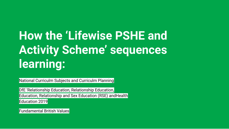### **How the 'Lifewise PSHE and Activity Scheme' sequences learning:**

National Curriculm Subjects and Curriculm Planning

DfE 'Relationship Education, Relationship Education, Education, Relationship and Sex Education (RSE) andHealth Education 2019

Fundamental British Values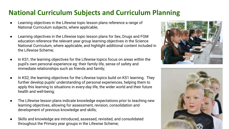#### **National Curriculum Subjects and Curriculum Planning**

- Learning objectives in the Lifewise topic lesson plans reference a range of National Curriculum subjects, where applicable;
- Learning objectives in the Lifewise topic lesson plans for Sex, Drugs and FGM education reference the relevant year group learning objectives in the Science National Curriculum, where applicable, and highlight additional content included in the Lifewise Scheme;
- In KS1, the learning objectives for the Lifewise topics focus on areas within the pupil's own personal experience eg: their family life, sense of safety and immediate relationships such as friends and family;
- In KS2, the learning objectives for the Lifewise topics build on KS1 learning. They further develop pupils' understanding of personal experiences, helping them to apply this learning to situations in every-day life, the wider world and their future health and well-being;
- The Lifewise lesson plans indicate knowledge expectations prior to teaching new learning objectives, allowing for assessment, revision, consolidation and development of previous knowledge and skills;
- Skills and knowledge are introduced, assessed, revisited, and consolidated throughout the Primary year groups in the Lifewise Scheme;



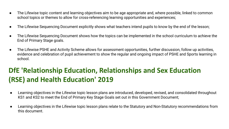- The Lifewise topic content and learning objectives aim to be age appropriate and, where possible, linked to common school topics or themes to allow for cross-referencing learning opportunities and experiences;
- The Lifewise Sequencing Document explicitly shows what teachers intend pupils to know by the end of the lesson;
- The Lifewise Sequencing Document shows how the topics can be implemented in the school curriculum to achieve the End of Primary Stage goals.
- The Lifewise PSHE and Activity Scheme allows for assessment opportunities, further discussion, follow up activities, evidence and celebration of pupil achievement to show the regular and ongoing impact of PSHE and Sports learning in school.

#### **DfE 'Relationship Education, Relationships and Sex Education (RSE) and Health Education' 2019**

- Learning objectives in the Lifewise topic lesson plans are introduced, developed, revised, and consolidated throughout KS1 and KS2 to meet the End of Primary Key Stage Goals set out in this Government Document;
- Learning objectives in the Lifewise topic lesson plans relate to the Statutory and Non-Statutory recommendations from this document.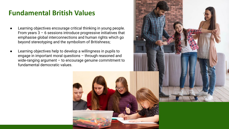#### **Fundamental British Values**

- Learning objectives encourage critical thinking in young people. From years  $3 - 6$  sessions introduce progressive initiatives that emphasise global interconnections and human rights which go beyond stereotyping and the symbolism of Britishness;
- Learning objectives help to develop a willingness in pupils to engage in important moral questions – through reasoned and wide-ranging argument – to encourage genuine commitment to fundamental democratic values.



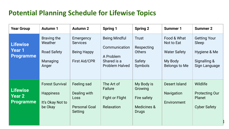#### **Potential Planning Schedule for Lifewise Topics**

| <b>Year Group</b>                                    | <b>Autumn 1</b>                                                           | <b>Autumn 2</b>                                                            | <b>Spring 1</b>                                                                            | <b>Spring 2</b>                                                                | <b>Summer 1</b>                                                              | <b>Summer 2</b>                                                               |
|------------------------------------------------------|---------------------------------------------------------------------------|----------------------------------------------------------------------------|--------------------------------------------------------------------------------------------|--------------------------------------------------------------------------------|------------------------------------------------------------------------------|-------------------------------------------------------------------------------|
| <b>Lifewise</b><br>Year 1<br><b>Programme</b>        | Braving the<br>Weather<br><b>Road Safety</b><br>Managing<br>Anger         | Emergency<br><b>Services</b><br><b>Being Happy</b><br><b>First Aid/CPR</b> | <b>Being Mindful</b><br>Communication<br>A Problem<br>Shared is a<br><b>Problem Halved</b> | Trust<br>Respecting<br><b>Others</b><br>Safety<br>Symbols                      | Food & What<br>Not to Eat<br><b>Water Safety</b><br>My Body<br>Belongs to Me | <b>Getting Your</b><br>Sleep<br>Hygiene & Me<br>Signalling &<br>Sign Language |
| <b>Lifewise</b><br><b>Year 2</b><br><b>Programme</b> | <b>Forest Survival</b><br><b>Happiness</b><br>It's Okay Not to<br>be Okay | Feeling sad<br>Dealing with<br>Loss<br><b>Personal Goal</b><br>Setting     | The Art of<br>Failure<br><b>Fight or Flight</b><br><b>Relaxation</b>                       | My Body is<br>Growing<br>Fire safety<br><b>Medicines &amp;</b><br><b>Drugs</b> | Desert Island<br>Navigation<br>Environment                                   | Wildlife<br><b>Protecting Our</b><br>Planet<br><b>Cyber Safety</b>            |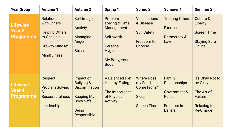| <b>Year Group</b>                                    | <b>Autumn 1</b>                                                                                                            | <b>Autumn 2</b>                                                                                                                     | <b>Spring 1</b>                                                                                                     | <b>Spring 2</b>                                                                  | <b>Summer 1</b>                                                                                           | <b>Summer 2</b>                                                                                       |
|------------------------------------------------------|----------------------------------------------------------------------------------------------------------------------------|-------------------------------------------------------------------------------------------------------------------------------------|---------------------------------------------------------------------------------------------------------------------|----------------------------------------------------------------------------------|-----------------------------------------------------------------------------------------------------------|-------------------------------------------------------------------------------------------------------|
| <b>Lifewise</b><br><b>Year 3</b><br><b>Programme</b> | <b>Relationships</b><br>with Others<br><b>Helping Others</b><br>to Get Help<br><b>Growth Mindset</b><br><b>Mindfulness</b> | Self-image<br>Anxiety<br>Managing<br>Anger<br><b>Stress</b>                                                                         | Problem<br>solving & Time<br>Management<br>Self-worth<br>Personal<br><b>Hygiene</b><br>My Body, Your<br><b>Body</b> | <b>Vaccinations</b><br>& Disease<br><b>Sun Safety</b><br>Freedom to<br>Choose    | <b>Trusting Others</b><br><b>Exercise</b><br>Democracy &<br>Law                                           | Culture &<br>Liberty<br><b>Screen Time</b><br><b>Staying Safe</b><br>Online                           |
| <b>Lifewise</b><br>Year 4<br><b>Programme</b>        | Respect<br><b>Problem Solving</b><br>8 <sub>o</sub><br><b>Resourcefulness</b><br>Leadership                                | Impact of<br><b>Bullying &amp;</b><br><b>Discrimination</b><br><b>Keeping My</b><br><b>Body Safe</b><br><b>Being</b><br>Responsible | A Balanced Diet<br><b>Healthy Eating</b><br>The Importance<br>of Physical<br><b>Activity</b>                        | <b>Where Does</b><br>my Food<br><b>Come From?</b><br>Sleep<br><b>Screen Time</b> | Family<br><b>Relationships</b><br><b>Government &amp;</b><br><b>Rules</b><br>Freedom in<br><b>Beliefs</b> | It's Okay Not to<br>be Okay<br>The Art of<br><b>Failure</b><br><b>Relaxing to</b><br><b>Re-Charge</b> |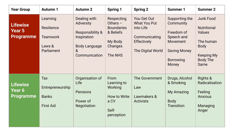| <b>Year Group</b>                                    | <b>Autumn 1</b>                                                   | <b>Autumn 2</b>                                                                                                                    | <b>Spring 1</b>                                                                             | <b>Spring 2</b>                                                                                             | <b>Summer 1</b>                                                                                                         | <b>Summer 2</b>                                                                                                              |
|------------------------------------------------------|-------------------------------------------------------------------|------------------------------------------------------------------------------------------------------------------------------------|---------------------------------------------------------------------------------------------|-------------------------------------------------------------------------------------------------------------|-------------------------------------------------------------------------------------------------------------------------|------------------------------------------------------------------------------------------------------------------------------|
| <b>Lifewise</b><br><b>Year 5</b><br><b>Programme</b> | Learning<br>Resilience<br><b>Teamwork</b><br>Laws &<br>Parliament | Dealing with<br>Adversity<br><b>Responsibility &amp;</b><br>Inspiration<br><b>Body Language</b><br>8 <sub>l</sub><br>Communication | Respecting<br>Others $-$<br><b>Boundaries</b><br>& Beliefs<br>My Body<br>Changes<br>The NHS | You Get Out<br><b>What You Put</b><br>into Life<br>Communicating<br><b>Effectively</b><br>The Digital World | Supporting the<br>Community<br>Freedom of<br>Speech and<br>Movement<br><b>Saving Money</b><br><b>Borrowing</b><br>Money | Junk Food<br><b>Nutritional</b><br><b>Values</b><br>The human<br><b>Body</b><br><b>Keeping My</b><br><b>Body The</b><br>Same |
| <b>Lifewise</b><br>Year 6<br><b>Programme</b>        | Tax<br>Entrepreneurship<br><b>Banks</b><br><b>First Aid</b>       | Organisation of<br>Life<br><b>Pensions</b><br>Power of<br><b>Negotiation</b>                                                       | From<br>Learning to<br>Working<br>How to Write<br>a CV<br>Self-<br>perception               | The Government<br>Law<br>Lawmakers &<br><b>Activists</b>                                                    | Drugs, Alcohol<br>& Smoking<br><b>My Amazing</b><br><b>Body</b><br><b>Transition</b>                                    | Rights &<br>Radicalisation<br>Feeling<br><b>Anxious</b><br>Managing<br>Anger                                                 |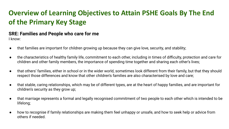#### **Overview of Learning Objectives to Attain PSHE Goals By The End of the Primary Key Stage**

#### **SRE: Families and People who care for me**

- that families are important for children growing up because they can give love, security, and stability;
- the characteristics of healthy family life, commitment to each other, including in times of difficulty, protection and care for children and other family members, the importance of spending time together and sharing each other's lives;
- that others' families, either in school or in the wider world, sometimes look different from their family, but that they should respect those differences and know that other children's families are also characterised by love and care;
- that stable, caring relationships, which may be of different types, are at the heart of happy families, and are important for children's security as they grow up;
- that marriage represents a formal and legally recognised commitment of two people to each other which is intended to be lifelong;
- how to recognise if family relationships are making them feel unhappy or unsafe, and how to seek help or advice from others if needed.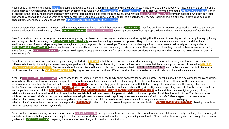Year 1 uses a fairy story to discuss **TRUST** and talks about who pupils can trust in their family and in their own lives. It also gives quidance about what happens if this trust is broken. Pupils discuss how parents/carers can protectthem by reinforcing rules around ROAD SAFETY and WATER SAFETY. They discover how to contact the EMERGENCY SERVICES if they or anyone in their family needs them and learn how parents/carers should look after them, knowing, however that MY BODY BELONGS TO ME they can ascertain who they can trust and who they can talk to as well as what to say if they feel they need extra support. Being able to talk to a trusted family member/adult/friend is a skill that is developed so pupils should know who these are and appreciate that A PROBLEM SHARED IS A PROBLEM HALVED.

Year 2 considers how pupils can be reassured by families/carers and be kept safe if they understand FIRE SAFETY. They find out how families can support them in difficult times, and they are helpedto build resilience by refining THE ART OF FAILURE. MY BODY IS GROWING has an appreciation of how appropriate love and care is a characteristic of healthy lives.

Year 3 talks about the qualities of good relationships, unpicking the characteristics of a good relationship and recognising that there are different types that make up the happy, loving and caring families in oursociety. In RELATIONSHIPS WITH OTHERS, we see that sharing interests is important. They look at what arelationship is and understand that there aredifferent types of relationships recognised in law, including marriage and civil partnerships. They can discuss having a duty of caretowards their family and being active in HELPING OTHERS TO GET HELP where they learnwho to ask and how to do so if they are feeling unsafe or unhappy. They understand how they can help others who may be having these feelings too.MY BODY YOUR BODY promotes how keeping a body safe is important for security andto feel comfortable in protecting their bodies and being able to express if they feel unsafe.

Year 4 uncovers the importance of showing, and being treated with RESPECT in their families and society and why, in a family, it is important for everyone.It raises awareness of different relationships including same sex marriage or partnerships. They discuss becoming independent learners but know that there is a support network if needed in PROBLEM SOLVING AND RESOURCEFULNESS. Discussions about how families are there to protect and be responsible for KEEPING MY BODY SAFE and the lessonsteach pupils to know what to do if they need help with this.FAMILY RELATIONSHIPS highlights how families may look different but that the characteristics of solid relationships are love and care.

Year 5, in KEEPING MY BODY THE SAME, look at who to talk to inside or outside of the family about concerns for personal safety. They think about who else cares for them and decide who to trust. They learn how families can support them to make responsible decisions about how their body should be cared for andprotected. They know that parents/carers have a responsibility to keep them healthy and that too much JUNK FOOD is harmful, and they go on to appreciate how THE NHScan support parents/carers with looking after their health.Discussions about what they may be LEARNING when spending time with the family as well as in other settings investigates how spending time with family is often beneficial and helps them understand that YOU GET OUT OF LIFE WHAT YOU PUT IN. RESPECTING OTHERS -BOUNDARIES AND BELIEFS looks at differences in religion, gender, culture, relationships etc and that families all look different in their society. but that care,love and happiness in relationships are important for all families and children.They learn how we might respect others' beliefs but recognise when laws are being broken or when to seek help if they or someone else feels afraid or unsafe.Different types of partnerships and relationships are explored, and they look at arranged marriage, same sex and civil partnerships and marriage and how respect is essential to maintain happy relationships.Opportunities to discusses how to practise RESILIENCE in relationships and how to keep working at them leads to COMMUNICATING EFFECTIVELY, thinking about how communication is important to staying safe.

Year 6 look at loving and caring partner relationships in MY AMAZING BODY and appreciate how these are important for all families and children in society. Thinking about intimacy, it reminds pupils about talking to someone they trust if they feel uncomfortable or afraid about what they are being asked to do. They consider how family and friends might offer useful guidance in HOW TO WRITE A CV, preparing them for career searching and potential job aspirations.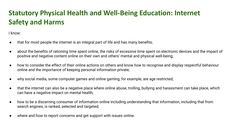#### **Statutory Physical Health and Well-Being Education: Internet Safety and Harms**

- that for most people the internet is an integral part of life and has many benefits;
- about the benefits of rationing time spent online, the risks of excessive time spent on electronic devices and the impact of positive and negative content online on their own and others' mental and physical well-being;
- how to consider the effect of their online actions on others and know how to recognise and display respectful behaviour online and the importance of keeping personal information private;
- why social media, some computer games and online gaming, for example, are age restricted;
- that the internet can also be a negative place where online abuse, trolling, bullying and harassment can take place, which can have a negative impact on mental health;
- how to be a discerning consumer of information online including understanding that information, including that from search engines, is ranked, selected and targeted;
- where and how to report concerns and get support with issues online.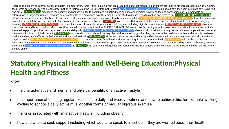There is an element of internet safety and harm in almost every topic - this is such a vast area requiring constant monitoring and there are links to other resources, such as Childnet, theinternet safety charity who prepare information in their role as the UK Safer Internet Centre.SIGNALLING AND SIGN LANGUAGE talks about how they communicate now using text and email.CYBER SAFETY discusses the positive and negative sides to social media.It introduces cookies and explains how websites and companies can use their data or information to target them to sell them items or contact them.It discusses how they may be redirected to unsafe websites online and what to do. RELATIONSHIPS WITH OTHERS allows for discussion around the benefits and ease of staying in contact with friends and family online or digitally. PROBLEM SOLVING AND RESOURCEFULNESS allows for discussion around how useful the internet can be to find answers to questions or problems. LEARNING looks at the different ways that we learn and how the internet is part of our everyday learning.COMMUNICATING EFFECTIVELY discusses the various forms of communication that they use including digital communication.SUPPORTING THE COMMUNITY allows for discussion around how to find out about how they can help the community online. THE DIGITAL WORLD looks at how technology can improve communication for everyone reminds them to keep posts positive that they make online and digitally. A PROBLEM SHARED IS A PROBLEM HALVED allows for discussion about any concerns they or anyone they know may have around online or digital contact.SELF-IMAGE allows for discussion about how they view and relate to images that they may see in the media and online and how this can have positive and negative effects on their mental and physical well-being. SELF-WORTH allows for discussion around how spending excessive time online may affect mood, mental and physical health.THE IMPORTANCE OF PHYSICAL ACTIVITY looks at how to keep fit and well and how rationing time on screens will help.SCREEN TIME looks at the positive and negatives of using technology, how this can become a habit and how to moderate time spent on screens.SLEEP discusses how sleep can be disturbed by screen technology affecting their health.FREEDOM OF SPEECH AND MOVEMENTand THE LAW both examine the legalities surrounding online interactions and shows how they are responsible for staying within the law online.

#### **Statutory Physical Health and Well-Being Education:Physical Health and Fitness**

- the characteristics and mental and physical benefits of an active lifestyle;
- the importance of building regular exercise into daily and weekly routines and how to achieve this; for example, walking or cycling to school, a daily active mile, or other forms of regular, vigorous exercise;
- the risks associated with an inactive lifestyle (including obesity);
- how and when to seek support including which adults to speak to in school if they are worried about their health.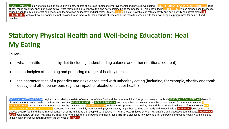GROWTH MINDSET allows for discussion around trying new sports or exercise routines to improve mental and physical well-being. THE IMPORTANCE OF PHYSICAL ACTIVITY looks at how much time they spend on being active, what they could do to improve this and how exercise helps them to learn. This is revisited in SCREEN TIME which emphasises the issues caused when too much internet can encourage them to lead an inactive and unhealthy lifestyle. SLEEP looks at how this can affect activity and how activity can affect sleep. THE HUMAN BODY looks at how our bodies are not designed to be inactive for long periods of time and helps them to come up with their own bespoke programme for being fit and healthy.

### **Statutory Physical Health and Well-being Education: Heal My Eating**

I know:

- what constitutes a healthy diet (including understanding calories and other nutritional content);
- the principles of planning and preparing a range of healthy meals;
- the characteristics of a poor diet and risks associated with unhealthy eating (including, for example, obesity and tooth decay) and other behaviours (eg: the impact of alcohol on diet or health)

FOOD AND WHAT NOT TO EAT begins by considering the risks of eating out of date food and the harm medicines/drugs can cause to our body. PERSONAL GOAL SETTING allows for discussion about setting goals to be fitter and healthier. **DESERT ISLAND** and FOREST SURVIVAL encourage them to be clear about the basics needed for humans to survive. BALANCED DIET avs out the constituents of a healthy, balanced diet. HEALTHY EATING looks at the importance of a healthy diet and the nutritional make-up of foods they eat. THE IMPORTANCE OF PHYSICAL ACTIVITY discusses how eating healthily together with physical activity helps them to keep their body and minds healthy.JUNK FOOD looks at what is classed as junk food and the nutritional content of some junk food that people like to eat.NUTRITIONAL VALUES looks at what nutrients are and discusses eating habits. THE HUMAN BODY looks at how different nutrients are important for the health of our bodies and their organs. THE NHS discusses how looking after our bodies and eating healthily will enable us to live healthier lives without relying on the services of **THENHS**.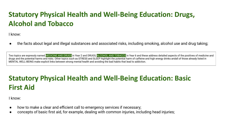#### **Statutory Physical Health and Well-Being Education: Drugs, Alcohol and Tobacco**

I know:

the facts about legal and illegal substances and associated risks, including smoking, alcohol use and drug taking;

Two topics are expressly named MEDICINE AND DRUGS in Year 2 and DRUGS, ALCOHOL AND TOBACCO in Year 6 and these address detailed aspects of the positives of medicine and drugs and the potential harms and risks. Other topics such as STRESS and SLEEP highlight the potential harm of caffeine and high energy drinks andall of those already listed in MENTAL WELL-BEING make explicit links between strong mental health and avoiding the bad habits that lead to addiction.

#### **Statutory Physical Health and Well-Being Education: Basic First Aid**

- how to make a clear and efficient call to emergency services if necessary;
- concepts of basic first aid, for example, dealing with common injuries, including head injuries;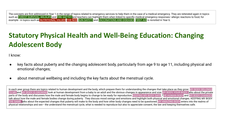The concepts are first addressed in Year 1 in the range of topics related to emergency services to help them in the case of a medical emergency. They are reiterated again in topics such as FOREST SURVIVAL, WILDLIFE and FIRE SAFTEY and teachers can highlight them when linked to specific medical emergency responses-allergic reactions to food, for example - in topics such as NUTRITIONAL VALUES, THE NHS, SUN SAFETY and VACCINATIONS AND DISEASES. FIRST AID is revisited in Year 6.

#### **Statutory Physical Health and Well-Being Education: Changing Adolescent Body**

I know:

- key facts about puberty and the changing adolescent body, particularly from age 9 to age 11, including physical and emotional changes;
- about menstrual wellbeing and including the key facts about the menstrual cycle.

In each year group there are topics related to human development and the body, which prepare them for understanding the changes that take place as they grow: MY BODY BELONGS TO ME and MY BODY IS GROWING look at human development from a baby to an adult and the obvious changes in appearance and size.MY BODY, YOUR BODY talks about the private parts of the body and discusses how the male and female body begins to change to be ready for reproduction. KEEPING MY BODY SAFE, THE HUMAN BODY and MY BODY CHANGES talk about how the male and female bodies change during puberty. They discuss mood swings and emotions and highlight both physical and emotional changes. KEEPING MY BODY THE SAME talks about the expected changes that puberty will make to the body and how other body changes need to be questioned.MY AMAZING BODY enters into the realms of physical relationships and sex– the understand the menstrual cycle, what is needed to reproduce but also to appreciate consent, the law and keeping themselves safe.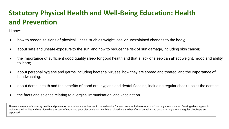#### **Statutory Physical Health and Well-Being Education: Health and Prevention**

I know:

- how to recognise signs of physical illness, such as weight loss, or unexplained changes to the body;
- about safe and unsafe exposure to the sun, and how to reduce the risk of sun damage, including skin cancer;
- the importance of sufficient good quality sleep for good health and that a lack of sleep can affect weight, mood and ability to learn;
- about personal hygiene and germs including bacteria, viruses, how they are spread and treated, and the importance of handwashing;
- about dental health and the benefits of good oral hygiene and dental flossing, including regular check-ups at the dentist;
- the facts and science relating to allergies, immunisation, and vaccination.

These six strands of statutory health and prevention education are addressed in named topics for each area, with the exception of oral hygiene and dental flossing which appear in topics related to diet and nutrition where impact of sugar and poor diet on dental health is explored and the benefits of dental visits, good oral hygiene and regular check-ups are espoused.